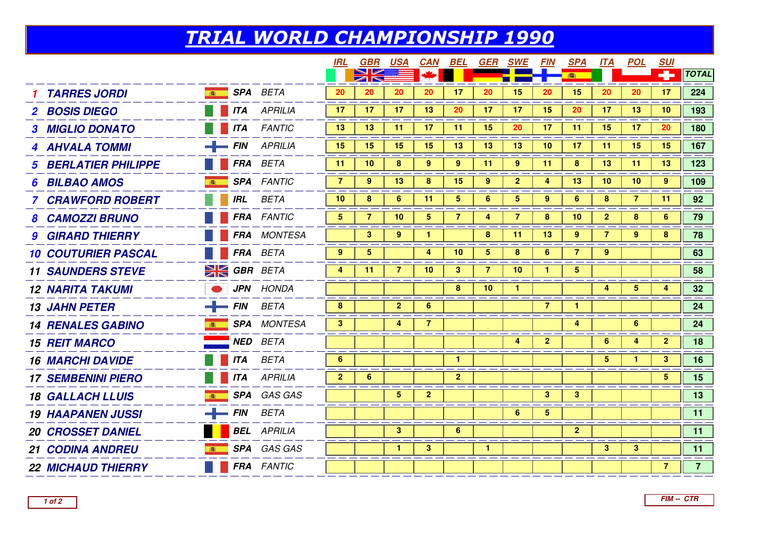## TRIAL WORLD CHAMPIONSHIP 1990

|                             |                    |                    |                    | <b>IRL</b>     | GBR                                                                    | <u>USA</u>           | <b>CAN</b>      | BEL            |                | <u>GER SWE</u> | FIN            | <u>SPA</u>     | <u> ІТА</u>    | <b>POL</b>      | <u>SUI</u>     |                |
|-----------------------------|--------------------|--------------------|--------------------|----------------|------------------------------------------------------------------------|----------------------|-----------------|----------------|----------------|----------------|----------------|----------------|----------------|-----------------|----------------|----------------|
|                             |                    |                    |                    |                | $\blacktriangleright$ $\blacktriangleright$<br>$\mathbb{Z} \mathbb{N}$ |                      |                 |                |                |                |                |                |                |                 | -1-            | $\vert$ TOTAL  |
| <b>TARRES JORDI</b>         | (画)                |                    | <b>SPA</b> BETA    | 20             | 20                                                                     | 20                   | 20              | 17             | 20             | 15             | 20             | 15             | 20             | 20              | 17             | 224            |
| <b>BOSIS DIEGO</b>          |                    | $\blacksquare$ ITA | APRILIA            | 17             | 17                                                                     | 17                   | 13              | 20             | 17             | 17             | 15             | 20             | 17             | 13              | 10             | 193            |
| <b>MIGLIO DONATO</b>        |                    |                    | <b>ITA</b> FANTIC  | 13             | 13                                                                     | 11                   | 17              | 11             | 15             | 20             | 17             | 11             | 15             | 17              | 20             | 180            |
| <b>4 AHVALA TOMMI</b>       |                    |                    | $FIN$ APRILIA      | 15             | 15                                                                     | 15                   | 15              | 13             | 13             | 13             | 10             | 17             | 11             | 15              | 15             | 167            |
| <b>5 BERLATIER PHILIPPE</b> |                    |                    | <b>FRA</b> BETA    | 11             | 10                                                                     | 8                    | 9               | 9              | 11             | 9              | 11             | 8              | 13             | 11              | 13             | 123            |
| <b>BILBAO AMOS</b><br>6     | (图)                |                    | <b>SPA</b> FANTIC  | $\overline{7}$ | 9                                                                      | 13                   | 8               | 15             | 9              | $\overline{2}$ | 4              | 13             | 10             | 10              | 9              | 109            |
| <b>7 CRAWFORD ROBERT</b>    |                    | IRL                | BETA               | 10             | 8                                                                      | 6                    | 11              | 5.             | 6              | 5              | 9              | 6              | 8              | $\overline{7}$  | 11             | 92             |
| 8 CAMOZZI BRUNO             |                    |                    | <b>FRA</b> FANTIC  | $5^{\circ}$    | $\overline{7}$                                                         | 10                   | 5               | $\overline{7}$ | 4              | $\overline{7}$ | 8              | 10             | $\mathbf{2}$   | 8               | 6              | 79             |
| <b>9 GIRARD THIERRY</b>     |                    |                    | <b>FRA</b> MONTESA |                | 3 <sup>2</sup>                                                         | 9                    | 1.              |                | 8              | 11             | 13             | 9              | $\overline{7}$ | 9               | 8              | 78             |
| <b>10 COUTURIER PASCAL</b>  |                    |                    | FRA BETA           | 9              | $\overline{\mathbf{5}}$                                                |                      | 4               | 10             | 5              | 8              | 6              | $\overline{7}$ | 9              |                 |                | 63             |
| <b>11 SAUNDERS STEVE</b>    | <b>SK GBR BETA</b> |                    |                    | 4              | 11                                                                     | 7                    | 10 <sup>°</sup> | 3 <sup>2</sup> | $\overline{7}$ | 10             | -1             | 5.             |                |                 |                | 58             |
| <b>12 NARITA TAKUMI</b>     |                    |                    | <b>JPN</b> HONDA   |                |                                                                        |                      |                 | 8              | 10             | $\mathbf{1}$   |                |                | 4              | $5\overline{)}$ | 4              | 32             |
| <b>13 JAHN PETER</b>        | $-$ FIN BETA       |                    |                    | 8              |                                                                        | $\mathbf{2}$         | 6               |                |                |                | $\overline{7}$ | $\mathbf{1}$   |                |                 |                | 24             |
| <b>14 RENALES GABINO</b>    |                    |                    | <b>SPA</b> MONTESA | $\mathbf{3}$   |                                                                        | 4                    | $\overline{7}$  |                |                |                |                | 4              |                | 6               |                | 24             |
| <b>15 REIT MARCO</b>        |                    |                    | NED BETA           |                |                                                                        |                      |                 |                |                | $\overline{4}$ | $\overline{2}$ |                | 6 <sup>1</sup> | 4               | 2 <sup>1</sup> | 18             |
| <b>16 MARCHI DAVIDE</b>     |                    |                    | <b>TA BETA</b>     | $6\phantom{1}$ |                                                                        |                      |                 | $\mathbf{1}$   |                |                |                |                | 5 <sup>5</sup> | 1.              | 3 <sup>2</sup> | 16             |
| <b>17 SEMBENINI PIERO</b>   |                    |                    | <b>TA APRILIA</b>  | $\mathbf{2}$   | 6                                                                      |                      |                 | $\mathbf{2}$   |                |                |                |                |                |                 | 5              | 15             |
| <b>18 GALLACH LLUIS</b>     | <b>BEE</b>         |                    | SPA GAS GAS        |                |                                                                        | 5 <sup>5</sup>       | 2 <sup>1</sup>  |                |                |                | 3              | 3 <sup>1</sup> |                |                 |                | 13             |
| <b>19 HAAPANEN JUSSI</b>    | $-$ FIN BETA       |                    |                    |                |                                                                        |                      |                 |                |                | 6              | 5              |                |                |                 |                | 11             |
| <b>20 CROSSET DANIEL</b>    |                    |                    | <b>BEL</b> APRILIA |                |                                                                        | $\mathbf{3}$         |                 | 6              |                |                |                | $\overline{2}$ |                |                 |                | 11             |
| <b>21 CODINA ANDREU</b>     |                    |                    | SPA GAS GAS        |                |                                                                        | $\blacktriangleleft$ | 3 <sup>1</sup>  |                | $\mathbf{1}$   |                |                |                | 3 <sup>7</sup> | 3 <sup>2</sup>  |                | 11             |
| <b>22 MICHAUD THIERRY</b>   |                    |                    | <b>FRA</b> FANTIC  |                |                                                                        |                      |                 |                |                |                |                |                |                |                 | 7              | 7 <sup>7</sup> |
|                             |                    |                    |                    |                |                                                                        |                      |                 |                |                |                |                |                |                |                 |                |                |